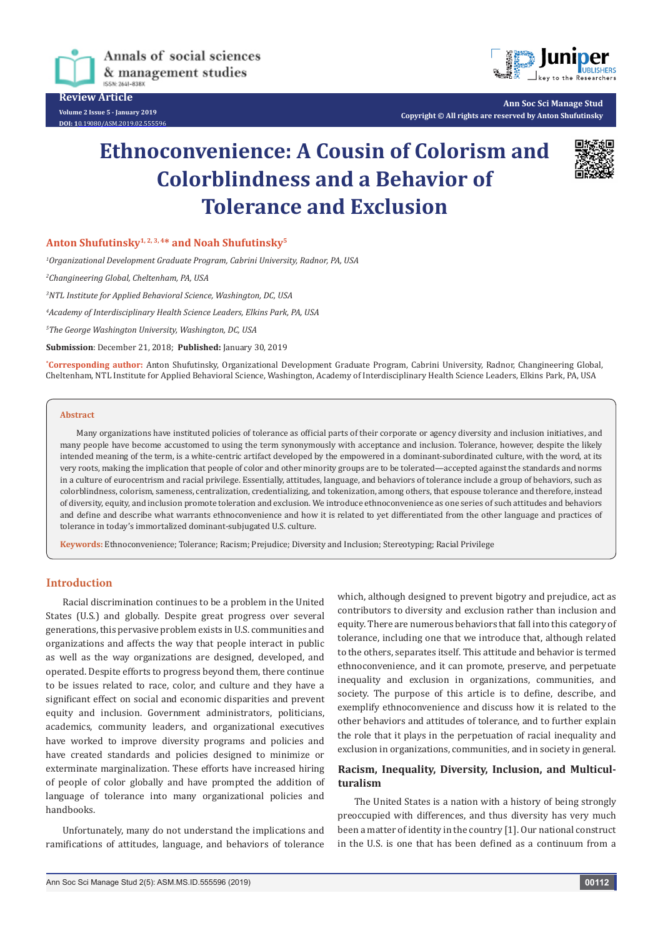

**Review Article Volume 2 Issue 5 - January 2019**

**DOI: 1**[0.19080/ASM.2019.02.555596](http://dx.doi.org/10.19080/ASM.2019.02.555596
)



**Ann Soc Sci Manage Stud Copyright © All rights are reserved by Anton Shufutinsky**

# **Ethnoconvenience: A Cousin of Colorism and Colorblindness and a Behavior of Tolerance and Exclusion**



## **Anton Shufutinsky1, 2, 3, 4\* and Noah Shufutinsky5**

*1 Organizational Development Graduate Program, Cabrini University, Radnor, PA, USA*

*2 Changineering Global, Cheltenham, PA, USA*

*3 NTL Institute for Applied Behavioral Science, Washington, DC, USA*

*4 Academy of Interdisciplinary Health Science Leaders, Elkins Park, PA, USA*

*5 The George Washington University, Washington, DC, USA*

**Submission**: December 21, 2018; **Published:** January 30, 2019

**\* Corresponding author:** Anton Shufutinsky, Organizational Development Graduate Program, Cabrini University, Radnor, Changineering Global, Cheltenham, NTL Institute for Applied Behavioral Science, Washington, Academy of Interdisciplinary Health Science Leaders, Elkins Park, PA, USA

#### **Abstract**

Many organizations have instituted policies of tolerance as official parts of their corporate or agency diversity and inclusion initiatives, and many people have become accustomed to using the term synonymously with acceptance and inclusion. Tolerance, however, despite the likely intended meaning of the term, is a white-centric artifact developed by the empowered in a dominant-subordinated culture, with the word, at its very roots, making the implication that people of color and other minority groups are to be tolerated—accepted against the standards and norms in a culture of eurocentrism and racial privilege. Essentially, attitudes, language, and behaviors of tolerance include a group of behaviors, such as colorblindness, colorism, sameness, centralization, credentializing, and tokenization, among others, that espouse tolerance and therefore, instead of diversity, equity, and inclusion promote toleration and exclusion. We introduce ethnoconvenience as one series of such attitudes and behaviors and define and describe what warrants ethnoconvenience and how it is related to yet differentiated from the other language and practices of tolerance in today's immortalized dominant-subjugated U.S. culture.

**Keywords:** Ethnoconvenience; Tolerance; Racism; Prejudice; Diversity and Inclusion; Stereotyping; Racial Privilege

## **Introduction**

Racial discrimination continues to be a problem in the United States (U.S.) and globally. Despite great progress over several generations, this pervasive problem exists in U.S. communities and organizations and affects the way that people interact in public as well as the way organizations are designed, developed, and operated. Despite efforts to progress beyond them, there continue to be issues related to race, color, and culture and they have a significant effect on social and economic disparities and prevent equity and inclusion. Government administrators, politicians, academics, community leaders, and organizational executives have worked to improve diversity programs and policies and have created standards and policies designed to minimize or exterminate marginalization. These efforts have increased hiring of people of color globally and have prompted the addition of language of tolerance into many organizational policies and handbooks.

Unfortunately, many do not understand the implications and ramifications of attitudes, language, and behaviors of tolerance which, although designed to prevent bigotry and prejudice, act as contributors to diversity and exclusion rather than inclusion and equity. There are numerous behaviors that fall into this category of tolerance, including one that we introduce that, although related to the others, separates itself. This attitude and behavior is termed ethnoconvenience, and it can promote, preserve, and perpetuate inequality and exclusion in organizations, communities, and society. The purpose of this article is to define, describe, and exemplify ethnoconvenience and discuss how it is related to the other behaviors and attitudes of tolerance, and to further explain the role that it plays in the perpetuation of racial inequality and exclusion in organizations, communities, and in society in general.

## **Racism, Inequality, Diversity, Inclusion, and Multiculturalism**

The United States is a nation with a history of being strongly preoccupied with differences, and thus diversity has very much been a matter of identity in the country [1]. Our national construct in the U.S. is one that has been defined as a continuum from a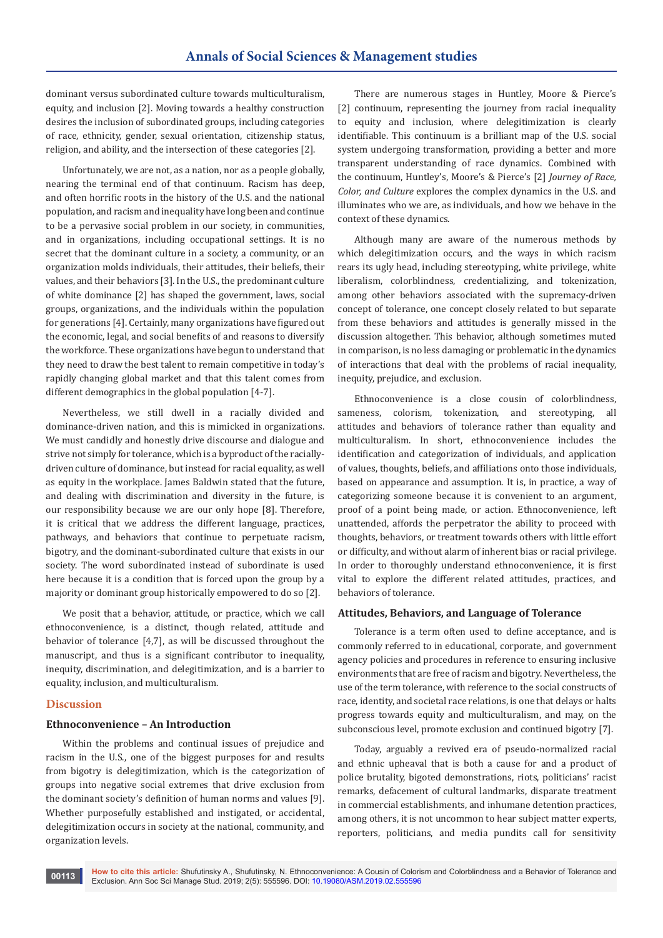dominant versus subordinated culture towards multiculturalism, equity, and inclusion [2]. Moving towards a healthy construction desires the inclusion of subordinated groups, including categories of race, ethnicity, gender, sexual orientation, citizenship status, religion, and ability, and the intersection of these categories [2].

Unfortunately, we are not, as a nation, nor as a people globally, nearing the terminal end of that continuum. Racism has deep, and often horrific roots in the history of the U.S. and the national population, and racism and inequality have long been and continue to be a pervasive social problem in our society, in communities, and in organizations, including occupational settings. It is no secret that the dominant culture in a society, a community, or an organization molds individuals, their attitudes, their beliefs, their values, and their behaviors [3]. In the U.S., the predominant culture of white dominance [2] has shaped the government, laws, social groups, organizations, and the individuals within the population for generations [4]. Certainly, many organizations have figured out the economic, legal, and social benefits of and reasons to diversify the workforce. These organizations have begun to understand that they need to draw the best talent to remain competitive in today's rapidly changing global market and that this talent comes from different demographics in the global population [4-7].

Nevertheless, we still dwell in a racially divided and dominance-driven nation, and this is mimicked in organizations. We must candidly and honestly drive discourse and dialogue and strive not simply for tolerance, which is a byproduct of the raciallydriven culture of dominance, but instead for racial equality, as well as equity in the workplace. James Baldwin stated that the future, and dealing with discrimination and diversity in the future, is our responsibility because we are our only hope [8]. Therefore, it is critical that we address the different language, practices, pathways, and behaviors that continue to perpetuate racism, bigotry, and the dominant-subordinated culture that exists in our society. The word subordinated instead of subordinate is used here because it is a condition that is forced upon the group by a majority or dominant group historically empowered to do so [2].

We posit that a behavior, attitude, or practice, which we call ethnoconvenience, is a distinct, though related, attitude and behavior of tolerance [4,7], as will be discussed throughout the manuscript, and thus is a significant contributor to inequality, inequity, discrimination, and delegitimization, and is a barrier to equality, inclusion, and multiculturalism.

## **Discussion**

### **Ethnoconvenience – An Introduction**

Within the problems and continual issues of prejudice and racism in the U.S., one of the biggest purposes for and results from bigotry is delegitimization, which is the categorization of groups into negative social extremes that drive exclusion from the dominant society's definition of human norms and values [9]. Whether purposefully established and instigated, or accidental, delegitimization occurs in society at the national, community, and organization levels.

There are numerous stages in Huntley, Moore & Pierce's [2] continuum, representing the journey from racial inequality to equity and inclusion, where delegitimization is clearly identifiable. This continuum is a brilliant map of the U.S. social system undergoing transformation, providing a better and more transparent understanding of race dynamics. Combined with the continuum, Huntley's, Moore's & Pierce's [2] *Journey of Race, Color, and Culture* explores the complex dynamics in the U.S. and illuminates who we are, as individuals, and how we behave in the context of these dynamics.

Although many are aware of the numerous methods by which delegitimization occurs, and the ways in which racism rears its ugly head, including stereotyping, white privilege, white liberalism, colorblindness, credentializing, and tokenization, among other behaviors associated with the supremacy-driven concept of tolerance, one concept closely related to but separate from these behaviors and attitudes is generally missed in the discussion altogether. This behavior, although sometimes muted in comparison, is no less damaging or problematic in the dynamics of interactions that deal with the problems of racial inequality, inequity, prejudice, and exclusion.

Ethnoconvenience is a close cousin of colorblindness, sameness, colorism, tokenization, and stereotyping, all attitudes and behaviors of tolerance rather than equality and multiculturalism. In short, ethnoconvenience includes the identification and categorization of individuals, and application of values, thoughts, beliefs, and affiliations onto those individuals, based on appearance and assumption. It is, in practice, a way of categorizing someone because it is convenient to an argument, proof of a point being made, or action. Ethnoconvenience, left unattended, affords the perpetrator the ability to proceed with thoughts, behaviors, or treatment towards others with little effort or difficulty, and without alarm of inherent bias or racial privilege. In order to thoroughly understand ethnoconvenience, it is first vital to explore the different related attitudes, practices, and behaviors of tolerance.

#### **Attitudes, Behaviors, and Language of Tolerance**

Tolerance is a term often used to define acceptance, and is commonly referred to in educational, corporate, and government agency policies and procedures in reference to ensuring inclusive environments that are free of racism and bigotry. Nevertheless, the use of the term tolerance, with reference to the social constructs of race, identity, and societal race relations, is one that delays or halts progress towards equity and multiculturalism, and may, on the subconscious level, promote exclusion and continued bigotry [7].

Today, arguably a revived era of pseudo-normalized racial and ethnic upheaval that is both a cause for and a product of police brutality, bigoted demonstrations, riots, politicians' racist remarks, defacement of cultural landmarks, disparate treatment in commercial establishments, and inhumane detention practices, among others, it is not uncommon to hear subject matter experts, reporters, politicians, and media pundits call for sensitivity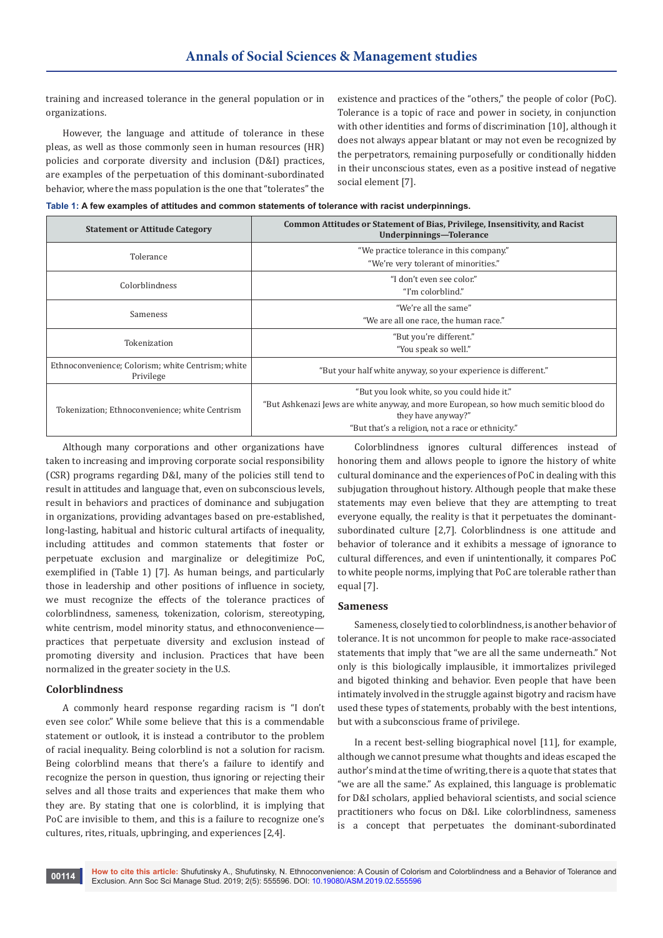training and increased tolerance in the general population or in organizations.

However, the language and attitude of tolerance in these pleas, as well as those commonly seen in human resources (HR) policies and corporate diversity and inclusion (D&I) practices, are examples of the perpetuation of this dominant-subordinated behavior, where the mass population is the one that "tolerates" the existence and practices of the "others," the people of color (PoC). Tolerance is a topic of race and power in society, in conjunction with other identities and forms of discrimination [10], although it does not always appear blatant or may not even be recognized by the perpetrators, remaining purposefully or conditionally hidden in their unconscious states, even as a positive instead of negative social element [7].

**Table 1: A few examples of attitudes and common statements of tolerance with racist underpinnings.**

| <b>Statement or Attitude Category</b>                          | Common Attitudes or Statement of Bias, Privilege, Insensitivity, and Racist<br>Underpinnings-Tolerance      |
|----------------------------------------------------------------|-------------------------------------------------------------------------------------------------------------|
| Tolerance                                                      | "We practice tolerance in this company."                                                                    |
|                                                                | "We're very tolerant of minorities."                                                                        |
| Colorblindness                                                 | "I don't even see color."                                                                                   |
|                                                                | "I'm colorblind."                                                                                           |
| Sameness                                                       | "We're all the same"                                                                                        |
|                                                                | "We are all one race, the human race."                                                                      |
| Tokenization                                                   | "But you're different."                                                                                     |
|                                                                | "You speak so well."                                                                                        |
| Ethnoconvenience; Colorism; white Centrism; white<br>Privilege | "But your half white anyway, so your experience is different."                                              |
| Tokenization; Ethnoconvenience; white Centrism                 | "But you look white, so you could hide it."                                                                 |
|                                                                | "But Ashkenazi Jews are white anyway, and more European, so how much semitic blood do<br>they have anyway?" |
|                                                                | "But that's a religion, not a race or ethnicity."                                                           |

Although many corporations and other organizations have taken to increasing and improving corporate social responsibility (CSR) programs regarding D&I, many of the policies still tend to result in attitudes and language that, even on subconscious levels, result in behaviors and practices of dominance and subjugation in organizations, providing advantages based on pre-established, long-lasting, habitual and historic cultural artifacts of inequality, including attitudes and common statements that foster or perpetuate exclusion and marginalize or delegitimize PoC, exemplified in (Table 1) [7]. As human beings, and particularly those in leadership and other positions of influence in society, we must recognize the effects of the tolerance practices of colorblindness, sameness, tokenization, colorism, stereotyping, white centrism, model minority status, and ethnoconvenience practices that perpetuate diversity and exclusion instead of promoting diversity and inclusion. Practices that have been normalized in the greater society in the U.S.

### **Colorblindness**

A commonly heard response regarding racism is "I don't even see color." While some believe that this is a commendable statement or outlook, it is instead a contributor to the problem of racial inequality. Being colorblind is not a solution for racism. Being colorblind means that there's a failure to identify and recognize the person in question, thus ignoring or rejecting their selves and all those traits and experiences that make them who they are. By stating that one is colorblind, it is implying that PoC are invisible to them, and this is a failure to recognize one's cultures, rites, rituals, upbringing, and experiences [2,4].

Colorblindness ignores cultural differences instead of honoring them and allows people to ignore the history of white cultural dominance and the experiences of PoC in dealing with this subjugation throughout history. Although people that make these statements may even believe that they are attempting to treat everyone equally, the reality is that it perpetuates the dominantsubordinated culture [2,7]. Colorblindness is one attitude and behavior of tolerance and it exhibits a message of ignorance to cultural differences, and even if unintentionally, it compares PoC to white people norms, implying that PoC are tolerable rather than equal [7].

#### **Sameness**

Sameness, closely tied to colorblindness, is another behavior of tolerance. It is not uncommon for people to make race-associated statements that imply that "we are all the same underneath." Not only is this biologically implausible, it immortalizes privileged and bigoted thinking and behavior. Even people that have been intimately involved in the struggle against bigotry and racism have used these types of statements, probably with the best intentions, but with a subconscious frame of privilege.

In a recent best-selling biographical novel [11], for example, although we cannot presume what thoughts and ideas escaped the author's mind at the time of writing, there is a quote that states that "we are all the same." As explained, this language is problematic for D&I scholars, applied behavioral scientists, and social science practitioners who focus on D&I. Like colorblindness, sameness is a concept that perpetuates the dominant-subordinated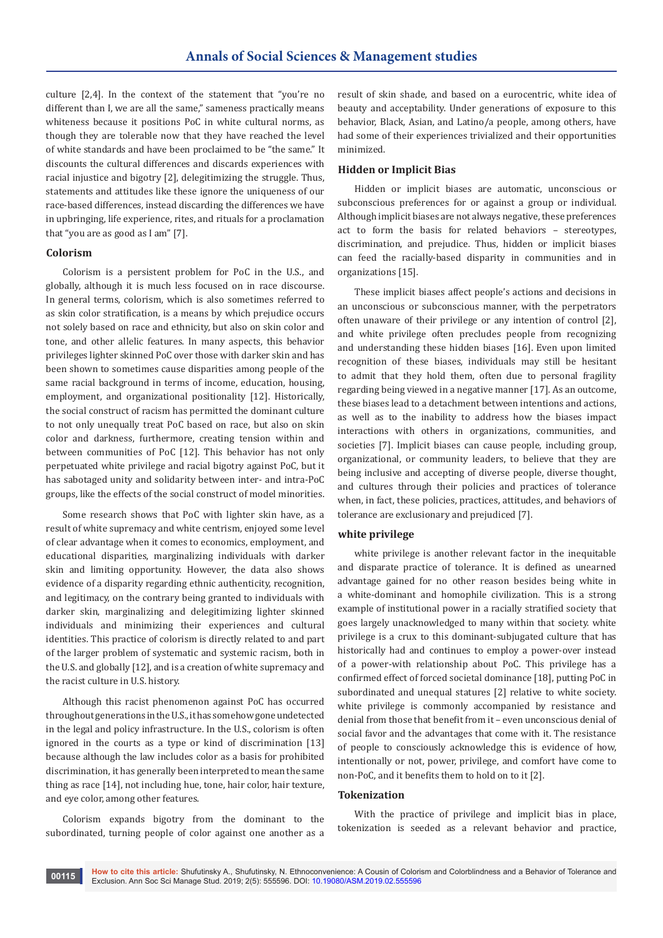culture [2,4]. In the context of the statement that "you're no different than I, we are all the same," sameness practically means whiteness because it positions PoC in white cultural norms, as though they are tolerable now that they have reached the level of white standards and have been proclaimed to be "the same." It discounts the cultural differences and discards experiences with racial injustice and bigotry [2], delegitimizing the struggle. Thus, statements and attitudes like these ignore the uniqueness of our race-based differences, instead discarding the differences we have in upbringing, life experience, rites, and rituals for a proclamation that "you are as good as I am" [7].

#### **Colorism**

Colorism is a persistent problem for PoC in the U.S., and globally, although it is much less focused on in race discourse. In general terms, colorism, which is also sometimes referred to as skin color stratification, is a means by which prejudice occurs not solely based on race and ethnicity, but also on skin color and tone, and other allelic features. In many aspects, this behavior privileges lighter skinned PoC over those with darker skin and has been shown to sometimes cause disparities among people of the same racial background in terms of income, education, housing, employment, and organizational positionality [12]. Historically, the social construct of racism has permitted the dominant culture to not only unequally treat PoC based on race, but also on skin color and darkness, furthermore, creating tension within and between communities of PoC [12]. This behavior has not only perpetuated white privilege and racial bigotry against PoC, but it has sabotaged unity and solidarity between inter- and intra-PoC groups, like the effects of the social construct of model minorities.

Some research shows that PoC with lighter skin have, as a result of white supremacy and white centrism, enjoyed some level of clear advantage when it comes to economics, employment, and educational disparities, marginalizing individuals with darker skin and limiting opportunity. However, the data also shows evidence of a disparity regarding ethnic authenticity, recognition, and legitimacy, on the contrary being granted to individuals with darker skin, marginalizing and delegitimizing lighter skinned individuals and minimizing their experiences and cultural identities. This practice of colorism is directly related to and part of the larger problem of systematic and systemic racism, both in the U.S. and globally [12], and is a creation of white supremacy and the racist culture in U.S. history.

Although this racist phenomenon against PoC has occurred throughout generations in the U.S., it has somehow gone undetected in the legal and policy infrastructure. In the U.S., colorism is often ignored in the courts as a type or kind of discrimination [13] because although the law includes color as a basis for prohibited discrimination, it has generally been interpreted to mean the same thing as race [14], not including hue, tone, hair color, hair texture, and eye color, among other features.

Colorism expands bigotry from the dominant to the subordinated, turning people of color against one another as a

result of skin shade, and based on a eurocentric, white idea of beauty and acceptability. Under generations of exposure to this behavior, Black, Asian, and Latino/a people, among others, have had some of their experiences trivialized and their opportunities minimized.

#### **Hidden or Implicit Bias**

Hidden or implicit biases are automatic, unconscious or subconscious preferences for or against a group or individual. Although implicit biases are not always negative, these preferences act to form the basis for related behaviors – stereotypes, discrimination, and prejudice. Thus, hidden or implicit biases can feed the racially-based disparity in communities and in organizations [15].

These implicit biases affect people's actions and decisions in an unconscious or subconscious manner, with the perpetrators often unaware of their privilege or any intention of control [2], and white privilege often precludes people from recognizing and understanding these hidden biases [16]. Even upon limited recognition of these biases, individuals may still be hesitant to admit that they hold them, often due to personal fragility regarding being viewed in a negative manner [17]. As an outcome, these biases lead to a detachment between intentions and actions, as well as to the inability to address how the biases impact interactions with others in organizations, communities, and societies [7]. Implicit biases can cause people, including group, organizational, or community leaders, to believe that they are being inclusive and accepting of diverse people, diverse thought, and cultures through their policies and practices of tolerance when, in fact, these policies, practices, attitudes, and behaviors of tolerance are exclusionary and prejudiced [7].

#### **white privilege**

white privilege is another relevant factor in the inequitable and disparate practice of tolerance. It is defined as unearned advantage gained for no other reason besides being white in a white-dominant and homophile civilization. This is a strong example of institutional power in a racially stratified society that goes largely unacknowledged to many within that society. white privilege is a crux to this dominant-subjugated culture that has historically had and continues to employ a power-over instead of a power-with relationship about PoC. This privilege has a confirmed effect of forced societal dominance [18], putting PoC in subordinated and unequal statures [2] relative to white society. white privilege is commonly accompanied by resistance and denial from those that benefit from it – even unconscious denial of social favor and the advantages that come with it. The resistance of people to consciously acknowledge this is evidence of how, intentionally or not, power, privilege, and comfort have come to non-PoC, and it benefits them to hold on to it [2].

### **Tokenization**

With the practice of privilege and implicit bias in place, tokenization is seeded as a relevant behavior and practice,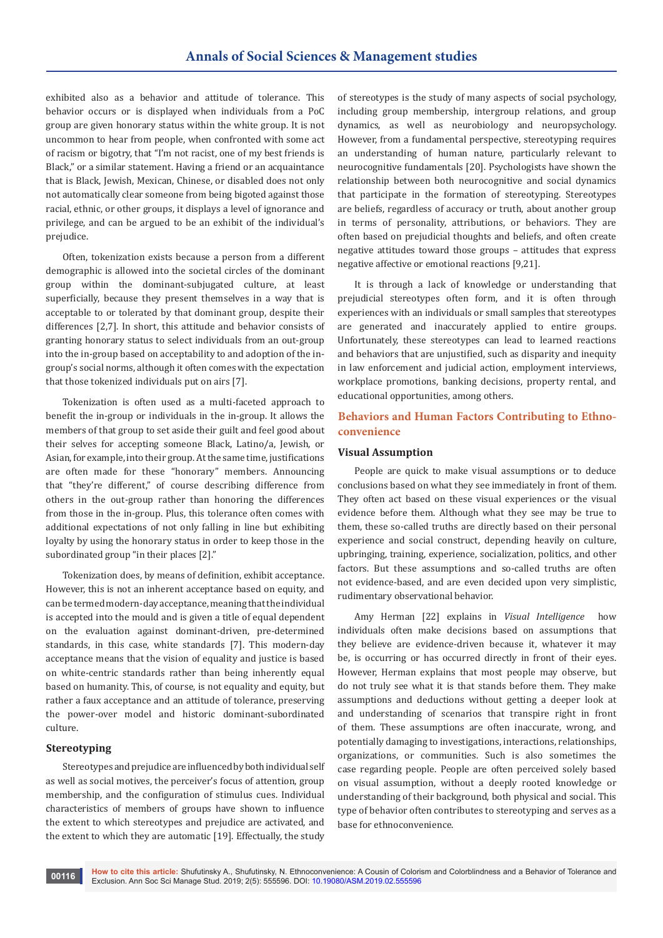exhibited also as a behavior and attitude of tolerance. This behavior occurs or is displayed when individuals from a PoC group are given honorary status within the white group. It is not uncommon to hear from people, when confronted with some act of racism or bigotry, that "I'm not racist, one of my best friends is Black," or a similar statement. Having a friend or an acquaintance that is Black, Jewish, Mexican, Chinese, or disabled does not only not automatically clear someone from being bigoted against those racial, ethnic, or other groups, it displays a level of ignorance and privilege, and can be argued to be an exhibit of the individual's prejudice.

Often, tokenization exists because a person from a different demographic is allowed into the societal circles of the dominant group within the dominant-subjugated culture, at least superficially, because they present themselves in a way that is acceptable to or tolerated by that dominant group, despite their differences [2,7]. In short, this attitude and behavior consists of granting honorary status to select individuals from an out-group into the in-group based on acceptability to and adoption of the ingroup's social norms, although it often comes with the expectation that those tokenized individuals put on airs [7].

Tokenization is often used as a multi-faceted approach to benefit the in-group or individuals in the in-group. It allows the members of that group to set aside their guilt and feel good about their selves for accepting someone Black, Latino/a, Jewish, or Asian, for example, into their group. At the same time, justifications are often made for these "honorary" members. Announcing that "they're different," of course describing difference from others in the out-group rather than honoring the differences from those in the in-group. Plus, this tolerance often comes with additional expectations of not only falling in line but exhibiting loyalty by using the honorary status in order to keep those in the subordinated group "in their places [2]."

Tokenization does, by means of definition, exhibit acceptance. However, this is not an inherent acceptance based on equity, and can be termed modern-day acceptance, meaning that the individual is accepted into the mould and is given a title of equal dependent on the evaluation against dominant-driven, pre-determined standards, in this case, white standards [7]. This modern-day acceptance means that the vision of equality and justice is based on white-centric standards rather than being inherently equal based on humanity. This, of course, is not equality and equity, but rather a faux acceptance and an attitude of tolerance, preserving the power-over model and historic dominant-subordinated culture.

## **Stereotyping**

Stereotypes and prejudice are influenced by both individual self as well as social motives, the perceiver's focus of attention, group membership, and the configuration of stimulus cues. Individual characteristics of members of groups have shown to influence the extent to which stereotypes and prejudice are activated, and the extent to which they are automatic [19]. Effectually, the study

of stereotypes is the study of many aspects of social psychology, including group membership, intergroup relations, and group dynamics, as well as neurobiology and neuropsychology. However, from a fundamental perspective, stereotyping requires an understanding of human nature, particularly relevant to neurocognitive fundamentals [20]. Psychologists have shown the relationship between both neurocognitive and social dynamics that participate in the formation of stereotyping. Stereotypes are beliefs, regardless of accuracy or truth, about another group in terms of personality, attributions, or behaviors. They are often based on prejudicial thoughts and beliefs, and often create negative attitudes toward those groups – attitudes that express negative affective or emotional reactions [9,21].

It is through a lack of knowledge or understanding that prejudicial stereotypes often form, and it is often through experiences with an individuals or small samples that stereotypes are generated and inaccurately applied to entire groups. Unfortunately, these stereotypes can lead to learned reactions and behaviors that are unjustified, such as disparity and inequity in law enforcement and judicial action, employment interviews, workplace promotions, banking decisions, property rental, and educational opportunities, among others.

# **Behaviors and Human Factors Contributing to Ethnoconvenience**

#### **Visual Assumption**

People are quick to make visual assumptions or to deduce conclusions based on what they see immediately in front of them. They often act based on these visual experiences or the visual evidence before them. Although what they see may be true to them, these so-called truths are directly based on their personal experience and social construct, depending heavily on culture, upbringing, training, experience, socialization, politics, and other factors. But these assumptions and so-called truths are often not evidence-based, and are even decided upon very simplistic, rudimentary observational behavior.

Amy Herman [22] explains in *Visual Intelligence* how individuals often make decisions based on assumptions that they believe are evidence-driven because it, whatever it may be, is occurring or has occurred directly in front of their eyes. However, Herman explains that most people may observe, but do not truly see what it is that stands before them. They make assumptions and deductions without getting a deeper look at and understanding of scenarios that transpire right in front of them. These assumptions are often inaccurate, wrong, and potentially damaging to investigations, interactions, relationships, organizations, or communities. Such is also sometimes the case regarding people. People are often perceived solely based on visual assumption, without a deeply rooted knowledge or understanding of their background, both physical and social. This type of behavior often contributes to stereotyping and serves as a base for ethnoconvenience.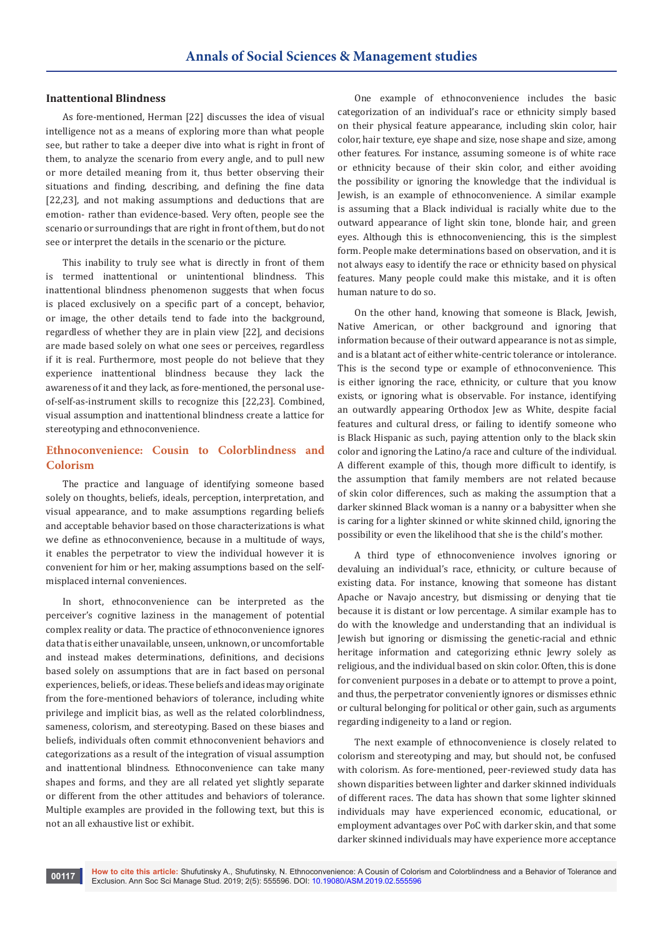#### **Inattentional Blindness**

As fore-mentioned, Herman [22] discusses the idea of visual intelligence not as a means of exploring more than what people see, but rather to take a deeper dive into what is right in front of them, to analyze the scenario from every angle, and to pull new or more detailed meaning from it, thus better observing their situations and finding, describing, and defining the fine data [22,23], and not making assumptions and deductions that are emotion- rather than evidence-based. Very often, people see the scenario or surroundings that are right in front of them, but do not see or interpret the details in the scenario or the picture.

This inability to truly see what is directly in front of them is termed inattentional or unintentional blindness. This inattentional blindness phenomenon suggests that when focus is placed exclusively on a specific part of a concept, behavior, or image, the other details tend to fade into the background, regardless of whether they are in plain view [22], and decisions are made based solely on what one sees or perceives, regardless if it is real. Furthermore, most people do not believe that they experience inattentional blindness because they lack the awareness of it and they lack, as fore-mentioned, the personal useof-self-as-instrument skills to recognize this [22,23]. Combined, visual assumption and inattentional blindness create a lattice for stereotyping and ethnoconvenience.

## **Ethnoconvenience: Cousin to Colorblindness and Colorism**

The practice and language of identifying someone based solely on thoughts, beliefs, ideals, perception, interpretation, and visual appearance, and to make assumptions regarding beliefs and acceptable behavior based on those characterizations is what we define as ethnoconvenience, because in a multitude of ways, it enables the perpetrator to view the individual however it is convenient for him or her, making assumptions based on the selfmisplaced internal conveniences.

In short, ethnoconvenience can be interpreted as the perceiver's cognitive laziness in the management of potential complex reality or data. The practice of ethnoconvenience ignores data that is either unavailable, unseen, unknown, or uncomfortable and instead makes determinations, definitions, and decisions based solely on assumptions that are in fact based on personal experiences, beliefs, or ideas. These beliefs and ideas may originate from the fore-mentioned behaviors of tolerance, including white privilege and implicit bias, as well as the related colorblindness, sameness, colorism, and stereotyping. Based on these biases and beliefs, individuals often commit ethnoconvenient behaviors and categorizations as a result of the integration of visual assumption and inattentional blindness. Ethnoconvenience can take many shapes and forms, and they are all related yet slightly separate or different from the other attitudes and behaviors of tolerance. Multiple examples are provided in the following text, but this is not an all exhaustive list or exhibit.

One example of ethnoconvenience includes the basic categorization of an individual's race or ethnicity simply based on their physical feature appearance, including skin color, hair color, hair texture, eye shape and size, nose shape and size, among other features. For instance, assuming someone is of white race or ethnicity because of their skin color, and either avoiding the possibility or ignoring the knowledge that the individual is Jewish, is an example of ethnoconvenience. A similar example is assuming that a Black individual is racially white due to the outward appearance of light skin tone, blonde hair, and green eyes. Although this is ethnoconveniencing, this is the simplest form. People make determinations based on observation, and it is not always easy to identify the race or ethnicity based on physical features. Many people could make this mistake, and it is often human nature to do so.

On the other hand, knowing that someone is Black, Jewish, Native American, or other background and ignoring that information because of their outward appearance is not as simple, and is a blatant act of either white-centric tolerance or intolerance. This is the second type or example of ethnoconvenience. This is either ignoring the race, ethnicity, or culture that you know exists, or ignoring what is observable. For instance, identifying an outwardly appearing Orthodox Jew as White, despite facial features and cultural dress, or failing to identify someone who is Black Hispanic as such, paying attention only to the black skin color and ignoring the Latino/a race and culture of the individual. A different example of this, though more difficult to identify, is the assumption that family members are not related because of skin color differences, such as making the assumption that a darker skinned Black woman is a nanny or a babysitter when she is caring for a lighter skinned or white skinned child, ignoring the possibility or even the likelihood that she is the child's mother.

A third type of ethnoconvenience involves ignoring or devaluing an individual's race, ethnicity, or culture because of existing data. For instance, knowing that someone has distant Apache or Navajo ancestry, but dismissing or denying that tie because it is distant or low percentage. A similar example has to do with the knowledge and understanding that an individual is Jewish but ignoring or dismissing the genetic-racial and ethnic heritage information and categorizing ethnic Jewry solely as religious, and the individual based on skin color. Often, this is done for convenient purposes in a debate or to attempt to prove a point, and thus, the perpetrator conveniently ignores or dismisses ethnic or cultural belonging for political or other gain, such as arguments regarding indigeneity to a land or region.

The next example of ethnoconvenience is closely related to colorism and stereotyping and may, but should not, be confused with colorism. As fore-mentioned, peer-reviewed study data has shown disparities between lighter and darker skinned individuals of different races. The data has shown that some lighter skinned individuals may have experienced economic, educational, or employment advantages over PoC with darker skin, and that some darker skinned individuals may have experience more acceptance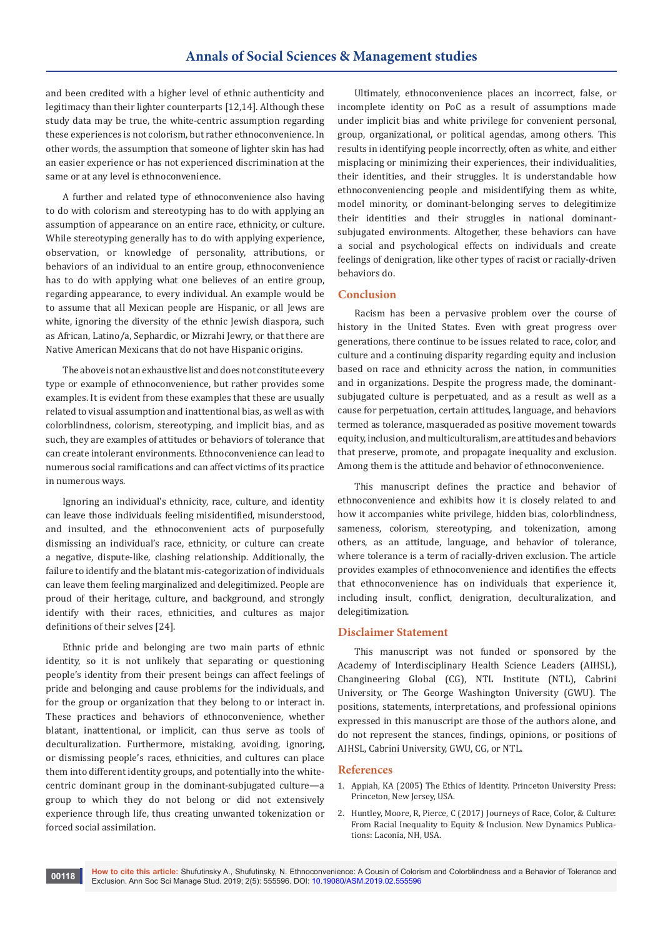and been credited with a higher level of ethnic authenticity and legitimacy than their lighter counterparts [12,14]. Although these study data may be true, the white-centric assumption regarding these experiences is not colorism, but rather ethnoconvenience. In other words, the assumption that someone of lighter skin has had an easier experience or has not experienced discrimination at the same or at any level is ethnoconvenience.

A further and related type of ethnoconvenience also having to do with colorism and stereotyping has to do with applying an assumption of appearance on an entire race, ethnicity, or culture. While stereotyping generally has to do with applying experience, observation, or knowledge of personality, attributions, or behaviors of an individual to an entire group, ethnoconvenience has to do with applying what one believes of an entire group, regarding appearance, to every individual. An example would be to assume that all Mexican people are Hispanic, or all Jews are white, ignoring the diversity of the ethnic Jewish diaspora, such as African, Latino/a, Sephardic, or Mizrahi Jewry, or that there are Native American Mexicans that do not have Hispanic origins.

The above is not an exhaustive list and does not constitute every type or example of ethnoconvenience, but rather provides some examples. It is evident from these examples that these are usually related to visual assumption and inattentional bias, as well as with colorblindness, colorism, stereotyping, and implicit bias, and as such, they are examples of attitudes or behaviors of tolerance that can create intolerant environments. Ethnoconvenience can lead to numerous social ramifications and can affect victims of its practice in numerous ways.

Ignoring an individual's ethnicity, race, culture, and identity can leave those individuals feeling misidentified, misunderstood, and insulted, and the ethnoconvenient acts of purposefully dismissing an individual's race, ethnicity, or culture can create a negative, dispute-like, clashing relationship. Additionally, the failure to identify and the blatant mis-categorization of individuals can leave them feeling marginalized and delegitimized. People are proud of their heritage, culture, and background, and strongly identify with their races, ethnicities, and cultures as major definitions of their selves [24].

Ethnic pride and belonging are two main parts of ethnic identity, so it is not unlikely that separating or questioning people's identity from their present beings can affect feelings of pride and belonging and cause problems for the individuals, and for the group or organization that they belong to or interact in. These practices and behaviors of ethnoconvenience, whether blatant, inattentional, or implicit, can thus serve as tools of deculturalization. Furthermore, mistaking, avoiding, ignoring, or dismissing people's races, ethnicities, and cultures can place them into different identity groups, and potentially into the whitecentric dominant group in the dominant-subjugated culture—a group to which they do not belong or did not extensively experience through life, thus creating unwanted tokenization or forced social assimilation.

Ultimately, ethnoconvenience places an incorrect, false, or incomplete identity on PoC as a result of assumptions made under implicit bias and white privilege for convenient personal, group, organizational, or political agendas, among others. This results in identifying people incorrectly, often as white, and either misplacing or minimizing their experiences, their individualities, their identities, and their struggles. It is understandable how ethnoconveniencing people and misidentifying them as white, model minority, or dominant-belonging serves to delegitimize their identities and their struggles in national dominantsubjugated environments. Altogether, these behaviors can have a social and psychological effects on individuals and create feelings of denigration, like other types of racist or racially-driven behaviors do.

### **Conclusion**

Racism has been a pervasive problem over the course of history in the United States. Even with great progress over generations, there continue to be issues related to race, color, and culture and a continuing disparity regarding equity and inclusion based on race and ethnicity across the nation, in communities and in organizations. Despite the progress made, the dominantsubjugated culture is perpetuated, and as a result as well as a cause for perpetuation, certain attitudes, language, and behaviors termed as tolerance, masqueraded as positive movement towards equity, inclusion, and multiculturalism, are attitudes and behaviors that preserve, promote, and propagate inequality and exclusion. Among them is the attitude and behavior of ethnoconvenience.

This manuscript defines the practice and behavior of ethnoconvenience and exhibits how it is closely related to and how it accompanies white privilege, hidden bias, colorblindness, sameness, colorism, stereotyping, and tokenization, among others, as an attitude, language, and behavior of tolerance, where tolerance is a term of racially-driven exclusion. The article provides examples of ethnoconvenience and identifies the effects that ethnoconvenience has on individuals that experience it, including insult, conflict, denigration, deculturalization, and delegitimization.

## **Disclaimer Statement**

This manuscript was not funded or sponsored by the Academy of Interdisciplinary Health Science Leaders (AIHSL), Changineering Global (CG), NTL Institute (NTL), Cabrini University, or The George Washington University (GWU). The positions, statements, interpretations, and professional opinions expressed in this manuscript are those of the authors alone, and do not represent the stances, findings, opinions, or positions of AIHSL, Cabrini University, GWU, CG, or NTL.

#### **References**

- 1. Appiah, KA (2005) The Ethics of Identity. Princeton University Press: Princeton, New Jersey, USA.
- 2. Huntley, Moore, R, Pierce, C (2017) Journeys of Race, Color, & Culture: From Racial Inequality to Equity & Inclusion. New Dynamics Publications: Laconia, NH, USA.